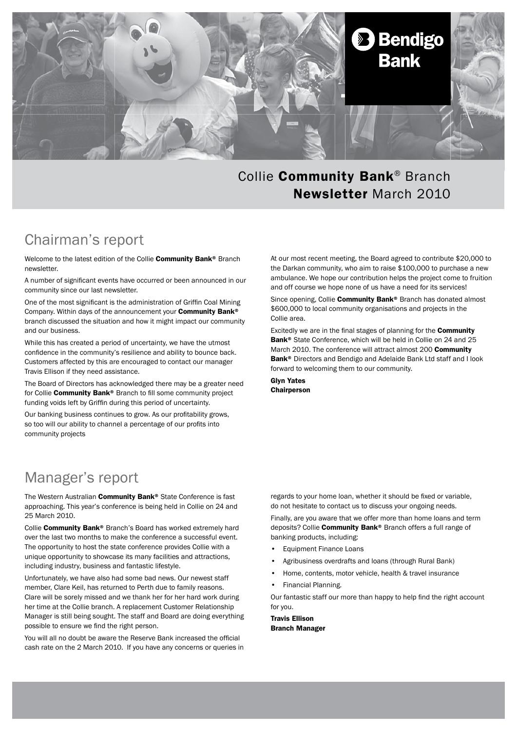

#### Collie Community Bank® Branch Newsletter March 2010

#### Chairman's report

Welcome to the latest edition of the Collie Community Bank® Branch newsletter.

A number of significant events have occurred or been announced in our community since our last newsletter.

One of the most significant is the administration of Griffin Coal Mining Company. Within days of the announcement your Community Bank® branch discussed the situation and how it might impact our community and our business.

While this has created a period of uncertainty, we have the utmost confidence in the community's resilience and ability to bounce back. Customers affected by this are encouraged to contact our manager Travis Ellison if they need assistance.

The Board of Directors has acknowledged there may be a greater need for Collie Community Bank® Branch to fill some community project funding voids left by Griffin during this period of uncertainty.

Our banking business continues to grow. As our profitability grows, so too will our ability to channel a percentage of our profits into community projects

### Manager's report

The Western Australian Community Bank® State Conference is fast approaching. This year's conference is being held in Collie on 24 and 25 March 2010.

Collie Community Bank® Branch's Board has worked extremely hard over the last two months to make the conference a successful event. The opportunity to host the state conference provides Collie with a unique opportunity to showcase its many facilities and attractions, including industry, business and fantastic lifestyle.

Unfortunately, we have also had some bad news. Our newest staff member, Clare Keil, has returned to Perth due to family reasons. Clare will be sorely missed and we thank her for her hard work during her time at the Collie branch. A replacement Customer Relationship Manager is still being sought. The staff and Board are doing everything possible to ensure we find the right person.

You will all no doubt be aware the Reserve Bank increased the official cash rate on the 2 March 2010. If you have any concerns or queries in At our most recent meeting, the Board agreed to contribute \$20,000 to the Darkan community, who aim to raise \$100,000 to purchase a new ambulance. We hope our contribution helps the project come to fruition and off course we hope none of us have a need for its services!

Since opening, Collie Community Bank® Branch has donated almost \$600,000 to local community organisations and projects in the Collie area.

Excitedly we are in the final stages of planning for the Community Bank® State Conference, which will be held in Collie on 24 and 25 March 2010. The conference will attract almost 200 **Community** Bank® Directors and Bendigo and Adelaide Bank Ltd staff and I look forward to welcoming them to our community.

Glyn Yates **Chairperson** 

regards to your home loan, whether it should be fixed or variable, do not hesitate to contact us to discuss your ongoing needs.

Finally, are you aware that we offer more than home loans and term deposits? Collie **Community Bank®** Branch offers a full range of banking products, including:

- Equipment Finance Loans
- Agribusiness overdrafts and loans (through Rural Bank)
- Home, contents, motor vehicle, health & travel insurance
- Financial Planning.

Our fantastic staff our more than happy to help find the right account for you.

Travis Ellison Branch Manager